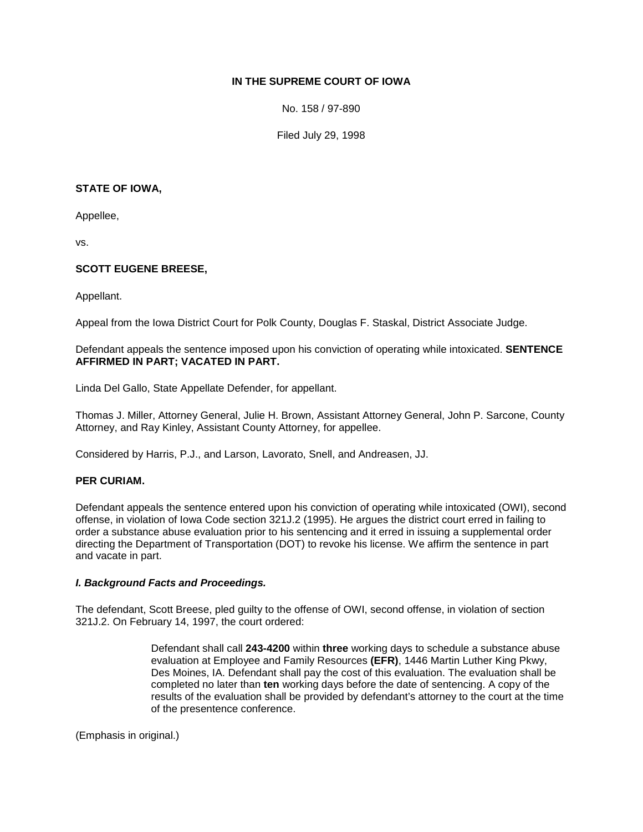# **IN THE SUPREME COURT OF IOWA**

No. 158 / 97-890

Filed July 29, 1998

### **STATE OF IOWA,**

Appellee,

vs.

## **SCOTT EUGENE BREESE,**

Appellant.

Appeal from the Iowa District Court for Polk County, Douglas F. Staskal, District Associate Judge.

Defendant appeals the sentence imposed upon his conviction of operating while intoxicated. **SENTENCE AFFIRMED IN PART; VACATED IN PART.**

Linda Del Gallo, State Appellate Defender, for appellant.

Thomas J. Miller, Attorney General, Julie H. Brown, Assistant Attorney General, John P. Sarcone, County Attorney, and Ray Kinley, Assistant County Attorney, for appellee.

Considered by Harris, P.J., and Larson, Lavorato, Snell, and Andreasen, JJ.

## **PER CURIAM.**

Defendant appeals the sentence entered upon his conviction of operating while intoxicated (OWI), second offense, in violation of Iowa Code section 321J.2 (1995). He argues the district court erred in failing to order a substance abuse evaluation prior to his sentencing and it erred in issuing a supplemental order directing the Department of Transportation (DOT) to revoke his license. We affirm the sentence in part and vacate in part.

#### *I. Background Facts and Proceedings.*

The defendant, Scott Breese, pled guilty to the offense of OWI, second offense, in violation of section 321J.2. On February 14, 1997, the court ordered:

> Defendant shall call **243-4200** within **three** working days to schedule a substance abuse evaluation at Employee and Family Resources **(EFR)**, 1446 Martin Luther King Pkwy, Des Moines, IA. Defendant shall pay the cost of this evaluation. The evaluation shall be completed no later than **ten** working days before the date of sentencing. A copy of the results of the evaluation shall be provided by defendant's attorney to the court at the time of the presentence conference.

(Emphasis in original.)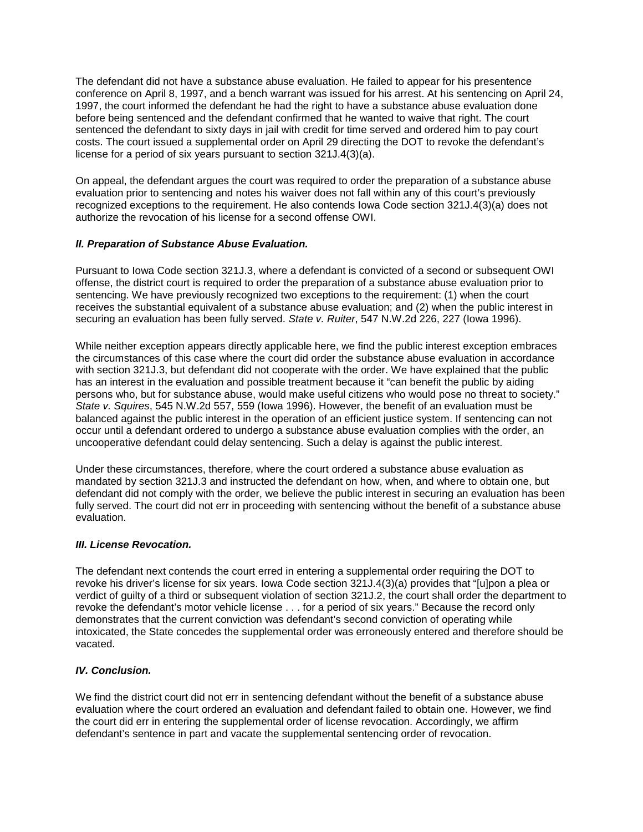The defendant did not have a substance abuse evaluation. He failed to appear for his presentence conference on April 8, 1997, and a bench warrant was issued for his arrest. At his sentencing on April 24, 1997, the court informed the defendant he had the right to have a substance abuse evaluation done before being sentenced and the defendant confirmed that he wanted to waive that right. The court sentenced the defendant to sixty days in jail with credit for time served and ordered him to pay court costs. The court issued a supplemental order on April 29 directing the DOT to revoke the defendant's license for a period of six years pursuant to section 321J.4(3)(a).

On appeal, the defendant argues the court was required to order the preparation of a substance abuse evaluation prior to sentencing and notes his waiver does not fall within any of this court's previously recognized exceptions to the requirement. He also contends Iowa Code section 321J.4(3)(a) does not authorize the revocation of his license for a second offense OWI.

## *II. Preparation of Substance Abuse Evaluation.*

Pursuant to Iowa Code section 321J.3, where a defendant is convicted of a second or subsequent OWI offense, the district court is required to order the preparation of a substance abuse evaluation prior to sentencing. We have previously recognized two exceptions to the requirement: (1) when the court receives the substantial equivalent of a substance abuse evaluation; and (2) when the public interest in securing an evaluation has been fully served. *State v. Ruiter*, 547 N.W.2d 226, 227 (Iowa 1996).

While neither exception appears directly applicable here, we find the public interest exception embraces the circumstances of this case where the court did order the substance abuse evaluation in accordance with section 321J.3, but defendant did not cooperate with the order. We have explained that the public has an interest in the evaluation and possible treatment because it "can benefit the public by aiding persons who, but for substance abuse, would make useful citizens who would pose no threat to society." *State v. Squires*, 545 N.W.2d 557, 559 (Iowa 1996). However, the benefit of an evaluation must be balanced against the public interest in the operation of an efficient justice system. If sentencing can not occur until a defendant ordered to undergo a substance abuse evaluation complies with the order, an uncooperative defendant could delay sentencing. Such a delay is against the public interest.

Under these circumstances, therefore, where the court ordered a substance abuse evaluation as mandated by section 321J.3 and instructed the defendant on how, when, and where to obtain one, but defendant did not comply with the order, we believe the public interest in securing an evaluation has been fully served. The court did not err in proceeding with sentencing without the benefit of a substance abuse evaluation.

## *III. License Revocation.*

The defendant next contends the court erred in entering a supplemental order requiring the DOT to revoke his driver's license for six years. Iowa Code section 321J.4(3)(a) provides that "[u]pon a plea or verdict of guilty of a third or subsequent violation of section 321J.2, the court shall order the department to revoke the defendant's motor vehicle license . . . for a period of six years." Because the record only demonstrates that the current conviction was defendant's second conviction of operating while intoxicated, the State concedes the supplemental order was erroneously entered and therefore should be vacated.

# *IV. Conclusion.*

We find the district court did not err in sentencing defendant without the benefit of a substance abuse evaluation where the court ordered an evaluation and defendant failed to obtain one. However, we find the court did err in entering the supplemental order of license revocation. Accordingly, we affirm defendant's sentence in part and vacate the supplemental sentencing order of revocation.